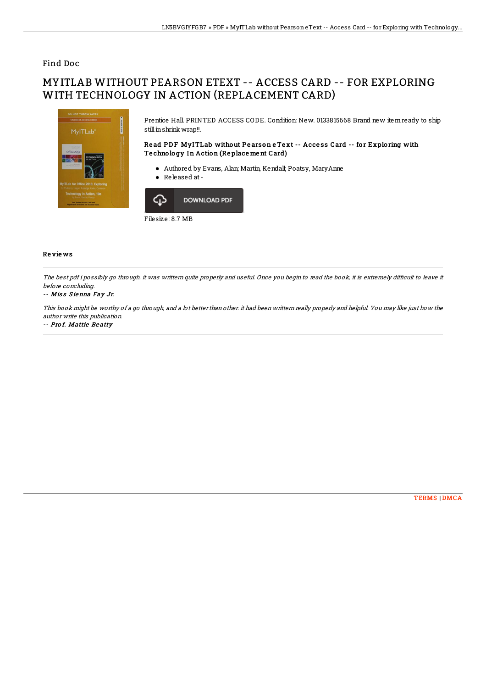## Find Doc

# MYITLAB WITHOUT PEARSON ETEXT -- ACCESS CARD -- FOR EXPLORING WITH TECHNOLOGY IN ACTION (REPLACEMENT CARD)



Prentice Hall. PRINTED ACCESS CODE. Condition: New. 0133815668 Brand new itemready to ship still in shrink wrap!!.

### Read PDF MyITLab without Pearson e Text -- Access Card -- for Exploring with Te chno lo gy In Action (Re place me nt Card)

- Authored by Evans, Alan; Martin, Kendall; Poatsy, MaryAnne
- Released at -



Filesize: 8.7 MB

#### Re vie ws

The best pdf i possibly go through. it was writtern quite properly and useful. Once you begin to read the book, it is extremely difficult to leave it before concluding.

#### -- Miss Sienna Fay Jr.

This book might be worthy of <sup>a</sup> go through, and <sup>a</sup> lot better than other. it had been writtern really properly and helpful. You may like just how the author write this publication.

-- Prof. Mattie Beatty